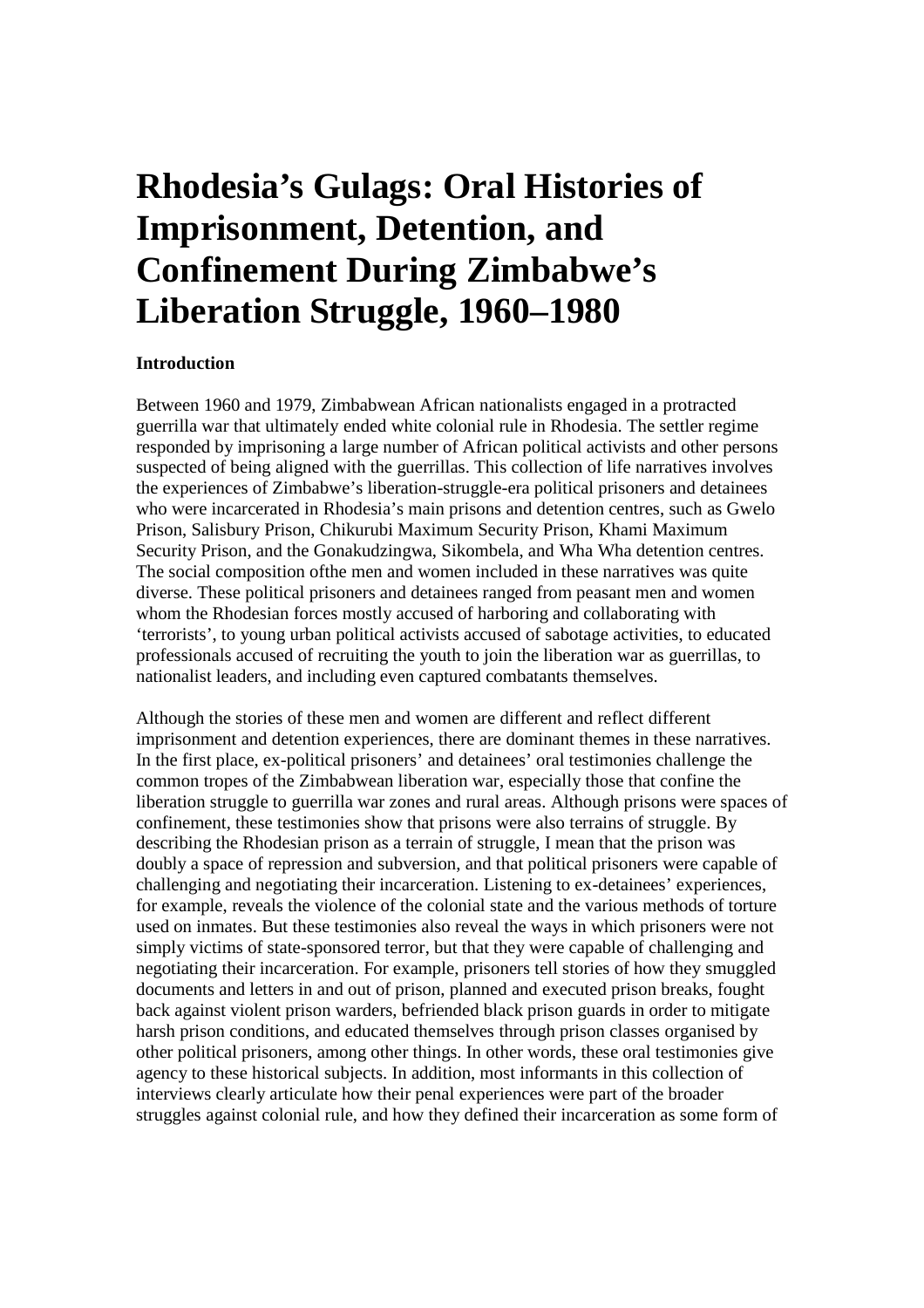## **Rhodesia's Gulags: Oral Histories of Imprisonment, Detention, and Confinement During Zimbabwe's Liberation Struggle, 1960–1980**

## **Introduction**

Between 1960 and 1979, Zimbabwean African nationalists engaged in a protracted guerrilla war that ultimately ended white colonial rule in Rhodesia. The settler regime responded by imprisoning a large number of African political activists and other persons suspected of being aligned with the guerrillas. This collection of life narratives involves the experiences of Zimbabwe's liberation-struggle-era political prisoners and detainees who were incarcerated in Rhodesia's main prisons and detention centres, such as Gwelo Prison, Salisbury Prison, Chikurubi Maximum Security Prison, Khami Maximum Security Prison, and the Gonakudzingwa, Sikombela, and Wha Wha detention centres. The social composition ofthe men and women included in these narratives was quite diverse. These political prisoners and detainees ranged from peasant men and women whom the Rhodesian forces mostly accused of harboring and collaborating with 'terrorists', to young urban political activists accused of sabotage activities, to educated professionals accused of recruiting the youth to join the liberation war as guerrillas, to nationalist leaders, and including even captured combatants themselves.

Although the stories of these men and women are different and reflect different imprisonment and detention experiences, there are dominant themes in these narratives. In the first place, ex-political prisoners' and detainees' oral testimonies challenge the common tropes of the Zimbabwean liberation war, especially those that confine the liberation struggle to guerrilla war zones and rural areas. Although prisons were spaces of confinement, these testimonies show that prisons were also terrains of struggle. By describing the Rhodesian prison as a terrain of struggle, I mean that the prison was doubly a space of repression and subversion, and that political prisoners were capable of challenging and negotiating their incarceration. Listening to ex-detainees' experiences, for example, reveals the violence of the colonial state and the various methods of torture used on inmates. But these testimonies also reveal the ways in which prisoners were not simply victims of state-sponsored terror, but that they were capable of challenging and negotiating their incarceration. For example, prisoners tell stories of how they smuggled documents and letters in and out of prison, planned and executed prison breaks, fought back against violent prison warders, befriended black prison guards in order to mitigate harsh prison conditions, and educated themselves through prison classes organised by other political prisoners, among other things. In other words, these oral testimonies give agency to these historical subjects. In addition, most informants in this collection of interviews clearly articulate how their penal experiences were part of the broader struggles against colonial rule, and how they defined their incarceration as some form of